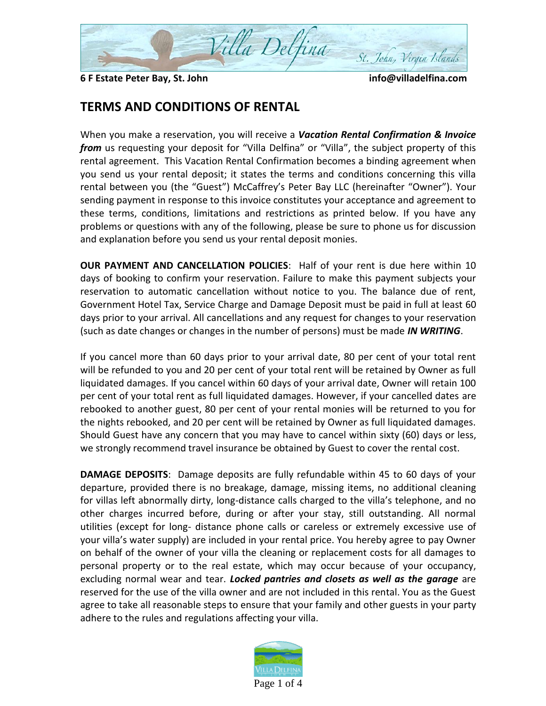

**6 F Estate Peter Bay, St. John info@villadelfina.com**

## **TERMS AND CONDITIONS OF RENTAL**

When you make a reservation, you will receive a *Vacation Rental Confirmation & Invoice from* us requesting your deposit for "Villa Delfina" or "Villa", the subject property of this rental agreement. This Vacation Rental Confirmation becomes a binding agreement when you send us your rental deposit; it states the terms and conditions concerning this villa rental between you (the "Guest") McCaffrey's Peter Bay LLC (hereinafter "Owner"). Your sending payment in response to this invoice constitutes your acceptance and agreement to these terms, conditions, limitations and restrictions as printed below. If you have any problems or questions with any of the following, please be sure to phone us for discussion and explanation before you send us your rental deposit monies.

**OUR PAYMENT AND CANCELLATION POLICIES**: Half of your rent is due here within 10 days of booking to confirm your reservation. Failure to make this payment subjects your reservation to automatic cancellation without notice to you. The balance due of rent, Government Hotel Tax, Service Charge and Damage Deposit must be paid in full at least 60 days prior to your arrival. All cancellations and any request for changes to your reservation (such as date changes or changes in the number of persons) must be made *IN WRITING*.

If you cancel more than 60 days prior to your arrival date, 80 per cent of your total rent will be refunded to you and 20 per cent of your total rent will be retained by Owner as full liquidated damages. If you cancel within 60 days of your arrival date, Owner will retain 100 per cent of your total rent as full liquidated damages. However, if your cancelled dates are rebooked to another guest, 80 per cent of your rental monies will be returned to you for the nights rebooked, and 20 per cent will be retained by Owner as full liquidated damages. Should Guest have any concern that you may have to cancel within sixty (60) days or less, we strongly recommend travel insurance be obtained by Guest to cover the rental cost.

**DAMAGE DEPOSITS**: Damage deposits are fully refundable within 45 to 60 days of your departure, provided there is no breakage, damage, missing items, no additional cleaning for villas left abnormally dirty, long-distance calls charged to the villa's telephone, and no other charges incurred before, during or after your stay, still outstanding. All normal utilities (except for long- distance phone calls or careless or extremely excessive use of your villa's water supply) are included in your rental price. You hereby agree to pay Owner on behalf of the owner of your villa the cleaning or replacement costs for all damages to personal property or to the real estate, which may occur because of your occupancy, excluding normal wear and tear. *Locked pantries and closets as well as the garage* are reserved for the use of the villa owner and are not included in this rental. You as the Guest agree to take all reasonable steps to ensure that your family and other guests in your party adhere to the rules and regulations affecting your villa.

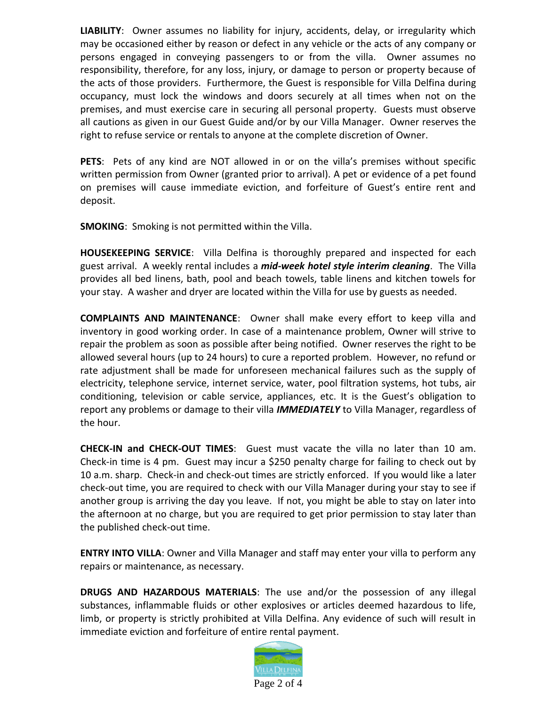**LIABILITY**: Owner assumes no liability for injury, accidents, delay, or irregularity which may be occasioned either by reason or defect in any vehicle or the acts of any company or persons engaged in conveying passengers to or from the villa. Owner assumes no responsibility, therefore, for any loss, injury, or damage to person or property because of the acts of those providers. Furthermore, the Guest is responsible for Villa Delfina during occupancy, must lock the windows and doors securely at all times when not on the premises, and must exercise care in securing all personal property. Guests must observe all cautions as given in our Guest Guide and/or by our Villa Manager. Owner reserves the right to refuse service or rentals to anyone at the complete discretion of Owner.

**PETS**: Pets of any kind are NOT allowed in or on the villa's premises without specific written permission from Owner (granted prior to arrival). A pet or evidence of a pet found on premises will cause immediate eviction, and forfeiture of Guest's entire rent and deposit.

**SMOKING**: Smoking is not permitted within the Villa.

**HOUSEKEEPING SERVICE**: Villa Delfina is thoroughly prepared and inspected for each guest arrival. A weekly rental includes a *mid-week hotel style interim cleaning*. The Villa provides all bed linens, bath, pool and beach towels, table linens and kitchen towels for your stay. A washer and dryer are located within the Villa for use by guests as needed.

**COMPLAINTS AND MAINTENANCE**: Owner shall make every effort to keep villa and inventory in good working order. In case of a maintenance problem, Owner will strive to repair the problem as soon as possible after being notified. Owner reserves the right to be allowed several hours (up to 24 hours) to cure a reported problem. However, no refund or rate adjustment shall be made for unforeseen mechanical failures such as the supply of electricity, telephone service, internet service, water, pool filtration systems, hot tubs, air conditioning, television or cable service, appliances, etc. It is the Guest's obligation to report any problems or damage to their villa *IMMEDIATELY* to Villa Manager, regardless of the hour.

**CHECK-IN and CHECK-OUT TIMES**: Guest must vacate the villa no later than 10 am. Check-in time is 4 pm. Guest may incur a \$250 penalty charge for failing to check out by 10 a.m. sharp. Check-in and check-out times are strictly enforced. If you would like a later check-out time, you are required to check with our Villa Manager during your stay to see if another group is arriving the day you leave. If not, you might be able to stay on later into the afternoon at no charge, but you are required to get prior permission to stay later than the published check-out time.

**ENTRY INTO VILLA**: Owner and Villa Manager and staff may enter your villa to perform any repairs or maintenance, as necessary.

**DRUGS AND HAZARDOUS MATERIALS**: The use and/or the possession of any illegal substances, inflammable fluids or other explosives or articles deemed hazardous to life, limb, or property is strictly prohibited at Villa Delfina. Any evidence of such will result in immediate eviction and forfeiture of entire rental payment.

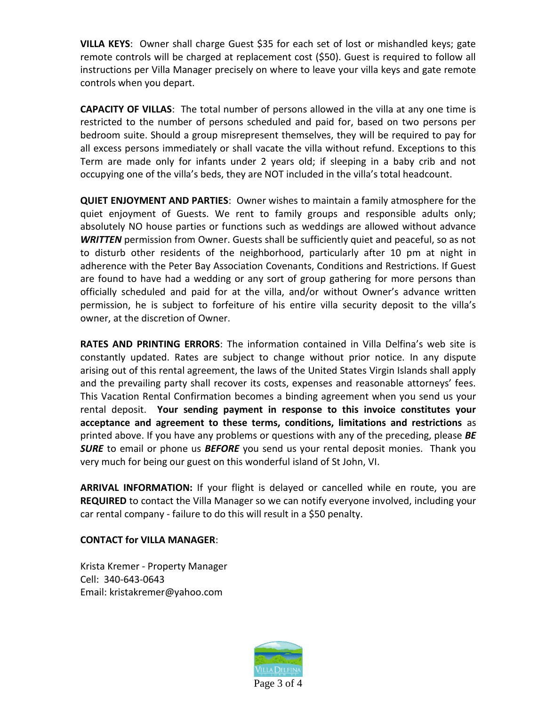**VILLA KEYS**: Owner shall charge Guest \$35 for each set of lost or mishandled keys; gate remote controls will be charged at replacement cost (\$50). Guest is required to follow all instructions per Villa Manager precisely on where to leave your villa keys and gate remote controls when you depart.

**CAPACITY OF VILLAS**: The total number of persons allowed in the villa at any one time is restricted to the number of persons scheduled and paid for, based on two persons per bedroom suite. Should a group misrepresent themselves, they will be required to pay for all excess persons immediately or shall vacate the villa without refund. Exceptions to this Term are made only for infants under 2 years old; if sleeping in a baby crib and not occupying one of the villa's beds, they are NOT included in the villa's total headcount.

**QUIET ENJOYMENT AND PARTIES**: Owner wishes to maintain a family atmosphere for the quiet enjoyment of Guests. We rent to family groups and responsible adults only; absolutely NO house parties or functions such as weddings are allowed without advance *WRITTEN* permission from Owner. Guests shall be sufficiently quiet and peaceful, so as not to disturb other residents of the neighborhood, particularly after 10 pm at night in adherence with the Peter Bay Association Covenants, Conditions and Restrictions. If Guest are found to have had a wedding or any sort of group gathering for more persons than officially scheduled and paid for at the villa, and/or without Owner's advance written permission, he is subject to forfeiture of his entire villa security deposit to the villa's owner, at the discretion of Owner.

**RATES AND PRINTING ERRORS**: The information contained in Villa Delfina's web site is constantly updated. Rates are subject to change without prior notice. In any dispute arising out of this rental agreement, the laws of the United States Virgin Islands shall apply and the prevailing party shall recover its costs, expenses and reasonable attorneys' fees. This Vacation Rental Confirmation becomes a binding agreement when you send us your rental deposit. **Your sending payment in response to this invoice constitutes your acceptance and agreement to these terms, conditions, limitations and restrictions** as printed above. If you have any problems or questions with any of the preceding, please *BE SURE* to email or phone us *BEFORE* you send us your rental deposit monies. Thank you very much for being our guest on this wonderful island of St John, VI.

**ARRIVAL INFORMATION:** If your flight is delayed or cancelled while en route, you are **REQUIRED** to contact the Villa Manager so we can notify everyone involved, including your car rental company - failure to do this will result in a \$50 penalty.

## **CONTACT for VILLA MANAGER**:

Krista Kremer - Property Manager Cell: 340-643-0643 Email: kristakremer@yahoo.com